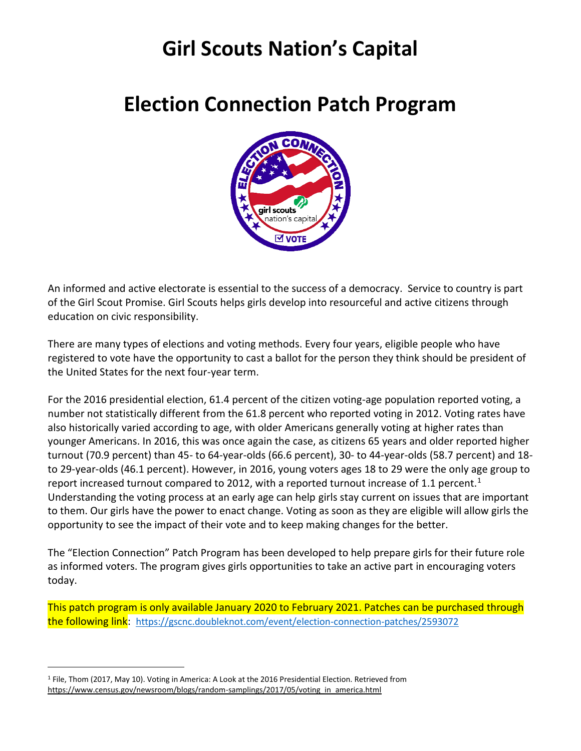# **Girl Scouts Nation's Capital**

## **Election Connection Patch Program**



An informed and active electorate is essential to the success of a democracy. Service to country is part of the Girl Scout Promise. Girl Scouts helps girls develop into resourceful and active citizens through education on civic responsibility.

There are many types of elections and voting methods. Every four years, eligible people who have registered to vote have the opportunity to cast a ballot for the person they think should be president of the United States for the next four-year term.

For the 2016 presidential election, 61.4 percent of the citizen voting-age population reported voting, a number not statistically different from the 61.8 percent who reported voting in 2012. Voting rates have also historically varied according to age, with older Americans generally voting at higher rates than younger Americans. In 2016, this was once again the case, as citizens 65 years and older reported higher turnout (70.9 percent) than 45- to 64-year-olds (66.6 percent), 30- to 44-year-olds (58.7 percent) and 18 to 29-year-olds (46.1 percent). However, in 2016, young voters ages 18 to 29 were the only age group to report increased turnout compared to 2012, with a reported turnout increase of 1.1 percent.<sup>1</sup> Understanding the voting process at an early age can help girls stay current on issues that are important to them. Our girls have the power to enact change. Voting as soon as they are eligible will allow girls the opportunity to see the impact of their vote and to keep making changes for the better.

The "Election Connection" Patch Program has been developed to help prepare girls for their future role as informed voters. The program gives girls opportunities to take an active part in encouraging voters today.

This patch program is only available January 2020 to February 2021. Patches can be purchased through the following link: <https://gscnc.doubleknot.com/event/election-connection-patches/2593072>

<sup>1</sup> File, Thom (2017, May 10). Voting in America: A Look at the 2016 Presidential Election. Retrieved from [https://www.census.gov/newsroom/blogs/random-samplings/2017/05/voting\\_in\\_america.html](https://www.census.gov/newsroom/blogs/random-samplings/2017/05/voting_in_america.html)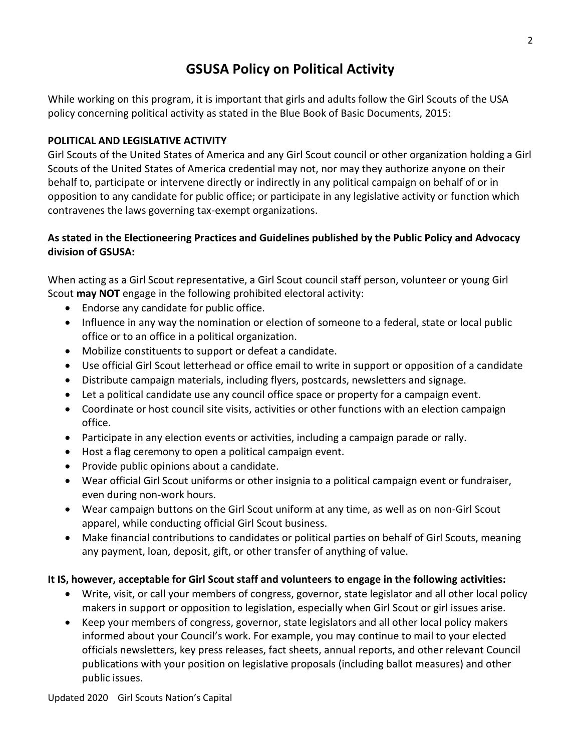## **GSUSA Policy on Political Activity**

While working on this program, it is important that girls and adults follow the Girl Scouts of the USA policy concerning political activity as stated in the Blue Book of Basic Documents, 2015:

#### **POLITICAL AND LEGISLATIVE ACTIVITY**

Girl Scouts of the United States of America and any Girl Scout council or other organization holding a Girl Scouts of the United States of America credential may not, nor may they authorize anyone on their behalf to, participate or intervene directly or indirectly in any political campaign on behalf of or in opposition to any candidate for public office; or participate in any legislative activity or function which contravenes the laws governing tax-exempt organizations.

#### **As stated in the Electioneering Practices and Guidelines published by the Public Policy and Advocacy division of GSUSA:**

When acting as a Girl Scout representative, a Girl Scout council staff person, volunteer or young Girl Scout **may NOT** engage in the following prohibited electoral activity:

- Endorse any candidate for public office.
- Influence in any way the nomination or election of someone to a federal, state or local public office or to an office in a political organization.
- Mobilize constituents to support or defeat a candidate.
- Use official Girl Scout letterhead or office email to write in support or opposition of a candidate
- Distribute campaign materials, including flyers, postcards, newsletters and signage.
- Let a political candidate use any council office space or property for a campaign event.
- Coordinate or host council site visits, activities or other functions with an election campaign office.
- Participate in any election events or activities, including a campaign parade or rally.
- Host a flag ceremony to open a political campaign event.
- Provide public opinions about a candidate.
- Wear official Girl Scout uniforms or other insignia to a political campaign event or fundraiser, even during non-work hours.
- Wear campaign buttons on the Girl Scout uniform at any time, as well as on non-Girl Scout apparel, while conducting official Girl Scout business.
- Make financial contributions to candidates or political parties on behalf of Girl Scouts, meaning any payment, loan, deposit, gift, or other transfer of anything of value.

#### **It IS, however, acceptable for Girl Scout staff and volunteers to engage in the following activities:**

- Write, visit, or call your members of congress, governor, state legislator and all other local policy makers in support or opposition to legislation, especially when Girl Scout or girl issues arise.
- Keep your members of congress, governor, state legislators and all other local policy makers informed about your Council's work. For example, you may continue to mail to your elected officials newsletters, key press releases, fact sheets, annual reports, and other relevant Council publications with your position on legislative proposals (including ballot measures) and other public issues.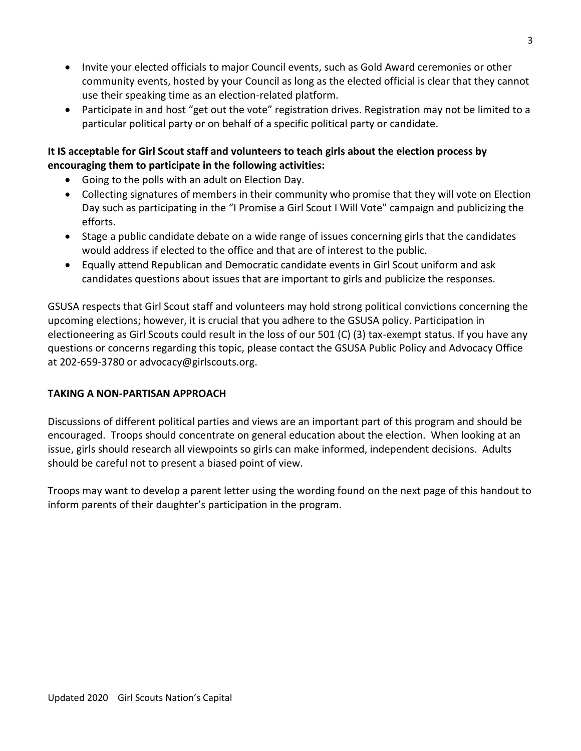- Invite your elected officials to major Council events, such as Gold Award ceremonies or other community events, hosted by your Council as long as the elected official is clear that they cannot use their speaking time as an election-related platform.
- Participate in and host "get out the vote" registration drives. Registration may not be limited to a particular political party or on behalf of a specific political party or candidate.

#### **It IS acceptable for Girl Scout staff and volunteers to teach girls about the election process by encouraging them to participate in the following activities:**

- Going to the polls with an adult on Election Day.
- Collecting signatures of members in their community who promise that they will vote on Election Day such as participating in the "I Promise a Girl Scout I Will Vote" campaign and publicizing the efforts.
- Stage a public candidate debate on a wide range of issues concerning girls that the candidates would address if elected to the office and that are of interest to the public.
- Equally attend Republican and Democratic candidate events in Girl Scout uniform and ask candidates questions about issues that are important to girls and publicize the responses.

GSUSA respects that Girl Scout staff and volunteers may hold strong political convictions concerning the upcoming elections; however, it is crucial that you adhere to the GSUSA policy. Participation in electioneering as Girl Scouts could result in the loss of our 501 (C) (3) tax-exempt status. If you have any questions or concerns regarding this topic, please contact the GSUSA Public Policy and Advocacy Office at 202-659-3780 or advocacy@girlscouts.org.

#### **TAKING A NON-PARTISAN APPROACH**

Discussions of different political parties and views are an important part of this program and should be encouraged. Troops should concentrate on general education about the election. When looking at an issue, girls should research all viewpoints so girls can make informed, independent decisions. Adults should be careful not to present a biased point of view.

Troops may want to develop a parent letter using the wording found on the next page of this handout to inform parents of their daughter's participation in the program.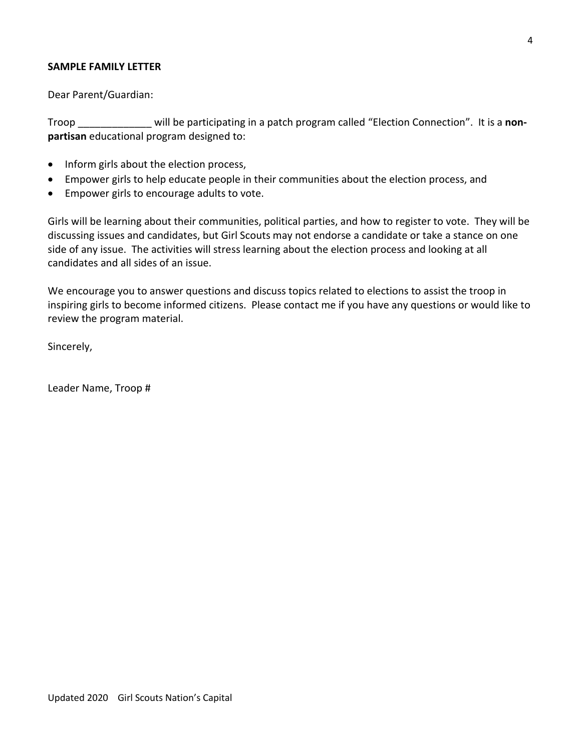#### **SAMPLE FAMILY LETTER**

Dear Parent/Guardian:

Troop \_\_\_\_\_\_\_\_\_\_\_\_\_ will be participating in a patch program called "Election Connection". It is a **nonpartisan** educational program designed to:

- Inform girls about the election process,
- Empower girls to help educate people in their communities about the election process, and
- Empower girls to encourage adults to vote.

Girls will be learning about their communities, political parties, and how to register to vote. They will be discussing issues and candidates, but Girl Scouts may not endorse a candidate or take a stance on one side of any issue. The activities will stress learning about the election process and looking at all candidates and all sides of an issue.

We encourage you to answer questions and discuss topics related to elections to assist the troop in inspiring girls to become informed citizens. Please contact me if you have any questions or would like to review the program material.

Sincerely,

Leader Name, Troop #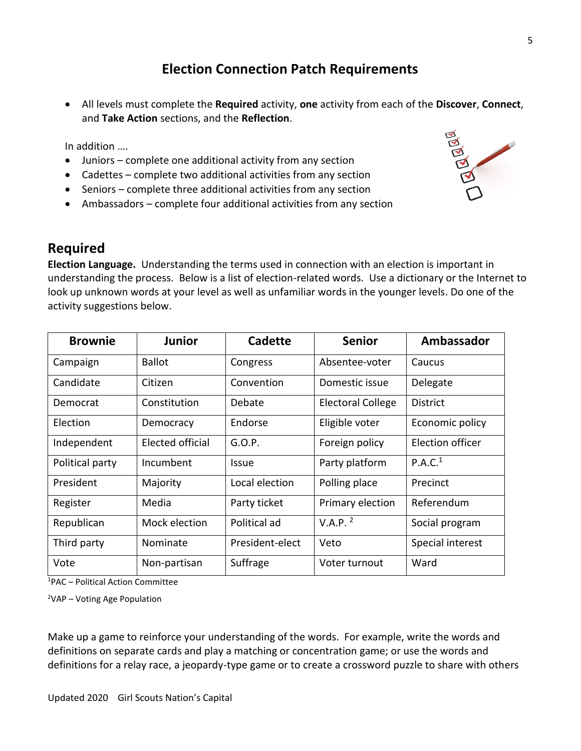## **Election Connection Patch Requirements**

• All levels must complete the **Required** activity, **one** activity from each of the **Discover**, **Connect**, and **Take Action** sections, and the **Reflection**.

In addition ….

- Juniors complete one additional activity from any section
- Cadettes complete two additional activities from any section
- Seniors complete three additional activities from any section
- Ambassadors complete four additional activities from any section



**Election Language.** Understanding the terms used in connection with an election is important in understanding the process. Below is a list of election-related words. Use a dictionary or the Internet to look up unknown words at your level as well as unfamiliar words in the younger levels. Do one of the activity suggestions below.

| <b>Brownie</b>  | <b>Junior</b>    | <b>Cadette</b>  | <b>Senior</b>            | Ambassador          |
|-----------------|------------------|-----------------|--------------------------|---------------------|
| Campaign        | <b>Ballot</b>    | Congress        | Absentee-voter           | Caucus              |
| Candidate       | Citizen          | Convention      | Domestic issue           | Delegate            |
| Democrat        | Constitution     | Debate          | <b>Electoral College</b> | District            |
| Election        | Democracy        | Endorse         | Eligible voter           | Economic policy     |
| Independent     | Elected official | G.O.P.          | Foreign policy           | Election officer    |
| Political party | Incumbent        | <b>Issue</b>    | Party platform           | P.A.C. <sup>1</sup> |
| President       | Majority         | Local election  | Polling place            | Precinct            |
| Register        | Media            | Party ticket    | Primary election         | Referendum          |
| Republican      | Mock election    | Political ad    | V.A.P. <sup>2</sup>      | Social program      |
| Third party     | Nominate         | President-elect | Veto                     | Special interest    |
| Vote            | Non-partisan     | Suffrage        | Voter turnout            | Ward                |

<sup>1</sup>PAC – Political Action Committee

<sup>2</sup>VAP – Voting Age Population

Make up a game to reinforce your understanding of the words. For example, write the words and definitions on separate cards and play a matching or concentration game; or use the words and definitions for a relay race, a jeopardy-type game or to create a crossword puzzle to share with others

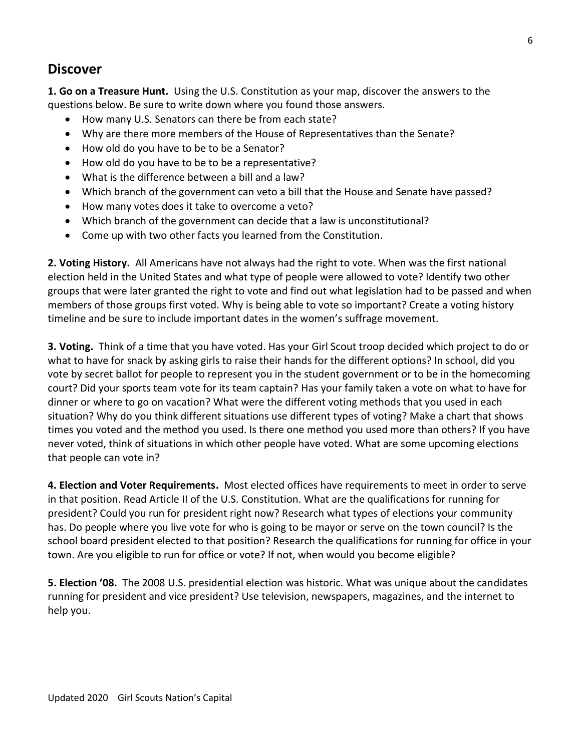### **Discover**

**1. Go on a Treasure Hunt.** Using the U.S. Constitution as your map, discover the answers to the questions below. Be sure to write down where you found those answers.

- How many U.S. Senators can there be from each state?
- Why are there more members of the House of Representatives than the Senate?
- How old do you have to be to be a Senator?
- How old do you have to be to be a representative?
- What is the difference between a bill and a law?
- Which branch of the government can veto a bill that the House and Senate have passed?
- How many votes does it take to overcome a veto?
- Which branch of the government can decide that a law is unconstitutional?
- Come up with two other facts you learned from the Constitution.

**2. Voting History.** All Americans have not always had the right to vote. When was the first national election held in the United States and what type of people were allowed to vote? Identify two other groups that were later granted the right to vote and find out what legislation had to be passed and when members of those groups first voted. Why is being able to vote so important? Create a voting history timeline and be sure to include important dates in the women's suffrage movement.

**3. Voting.** Think of a time that you have voted. Has your Girl Scout troop decided which project to do or what to have for snack by asking girls to raise their hands for the different options? In school, did you vote by secret ballot for people to represent you in the student government or to be in the homecoming court? Did your sports team vote for its team captain? Has your family taken a vote on what to have for dinner or where to go on vacation? What were the different voting methods that you used in each situation? Why do you think different situations use different types of voting? Make a chart that shows times you voted and the method you used. Is there one method you used more than others? If you have never voted, think of situations in which other people have voted. What are some upcoming elections that people can vote in?

**4. Election and Voter Requirements.** Most elected offices have requirements to meet in order to serve in that position. Read Article II of the U.S. Constitution. What are the qualifications for running for president? Could you run for president right now? Research what types of elections your community has. Do people where you live vote for who is going to be mayor or serve on the town council? Is the school board president elected to that position? Research the qualifications for running for office in your town. Are you eligible to run for office or vote? If not, when would you become eligible?

**5. Election '08.** The 2008 U.S. presidential election was historic. What was unique about the candidates running for president and vice president? Use television, newspapers, magazines, and the internet to help you.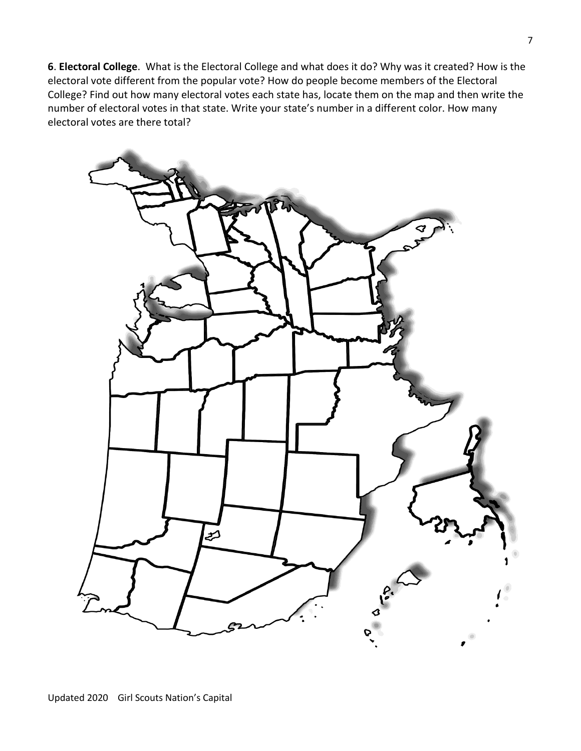**6**. **Electoral College**. What is the Electoral College and what does it do? Why was it created? How is the electoral vote different from the popular vote? How do people become members of the Electoral College? Find out how many electoral votes each state has, locate them on the map and then write the number of electoral votes in that state. Write your state's number in a different color. How many electoral votes are there total?

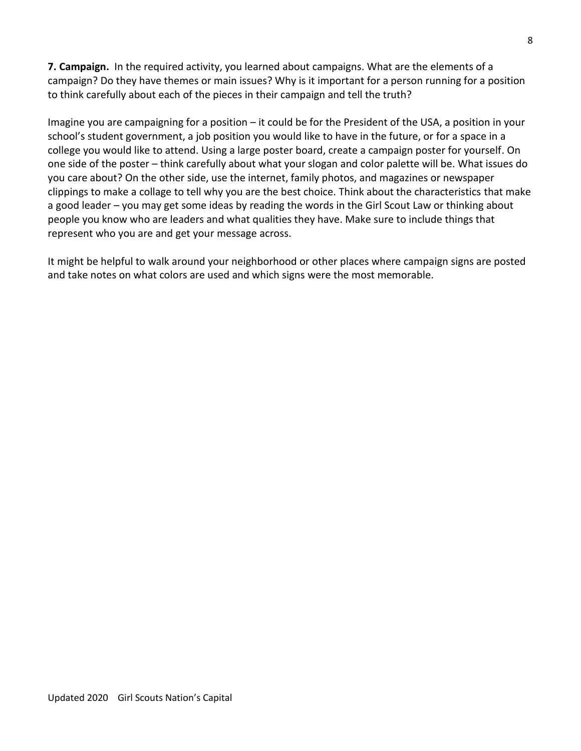**7. Campaign.** In the required activity, you learned about campaigns. What are the elements of a campaign? Do they have themes or main issues? Why is it important for a person running for a position to think carefully about each of the pieces in their campaign and tell the truth?

Imagine you are campaigning for a position – it could be for the President of the USA, a position in your school's student government, a job position you would like to have in the future, or for a space in a college you would like to attend. Using a large poster board, create a campaign poster for yourself. On one side of the poster – think carefully about what your slogan and color palette will be. What issues do you care about? On the other side, use the internet, family photos, and magazines or newspaper clippings to make a collage to tell why you are the best choice. Think about the characteristics that make a good leader – you may get some ideas by reading the words in the Girl Scout Law or thinking about people you know who are leaders and what qualities they have. Make sure to include things that represent who you are and get your message across.

It might be helpful to walk around your neighborhood or other places where campaign signs are posted and take notes on what colors are used and which signs were the most memorable.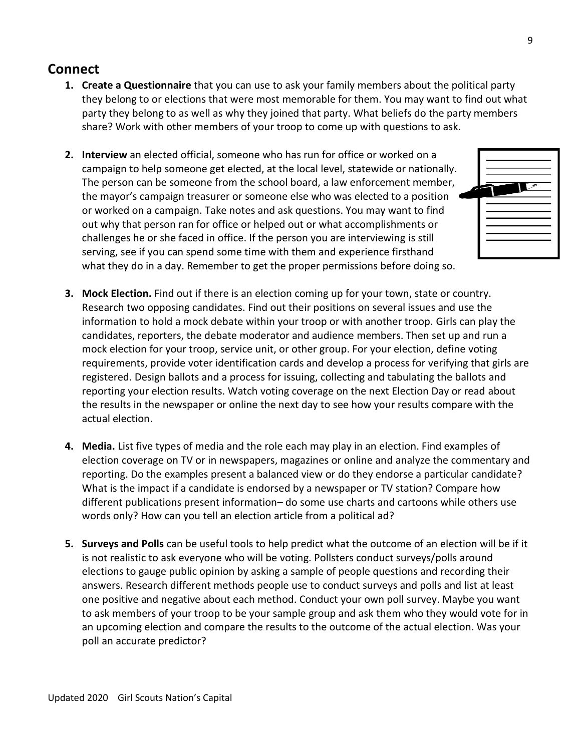- **1. Create a Questionnaire** that you can use to ask your family members about the political party they belong to or elections that were most memorable for them. You may want to find out what party they belong to as well as why they joined that party. What beliefs do the party members share? Work with other members of your troop to come up with questions to ask.
- **2. Interview** an elected official, someone who has run for office or worked on a campaign to help someone get elected, at the local level, statewide or nationally. The person can be someone from the school board, a law enforcement member, the mayor's campaign treasurer or someone else who was elected to a position or worked on a campaign. Take notes and ask questions. You may want to find out why that person ran for office or helped out or what accomplishments or challenges he or she faced in office. If the person you are interviewing is still serving, see if you can spend some time with them and experience firsthand what they do in a day. Remember to get the proper permissions before doing so.



- **3. Mock Election.** Find out if there is an election coming up for your town, state or country. Research two opposing candidates. Find out their positions on several issues and use the information to hold a mock debate within your troop or with another troop. Girls can play the candidates, reporters, the debate moderator and audience members. Then set up and run a mock election for your troop, service unit, or other group. For your election, define voting requirements, provide voter identification cards and develop a process for verifying that girls are registered. Design ballots and a process for issuing, collecting and tabulating the ballots and reporting your election results. Watch voting coverage on the next Election Day or read about the results in the newspaper or online the next day to see how your results compare with the actual election.
- **4. Media.** List five types of media and the role each may play in an election. Find examples of election coverage on TV or in newspapers, magazines or online and analyze the commentary and reporting. Do the examples present a balanced view or do they endorse a particular candidate? What is the impact if a candidate is endorsed by a newspaper or TV station? Compare how different publications present information– do some use charts and cartoons while others use words only? How can you tell an election article from a political ad?
- **5. Surveys and Polls** can be useful tools to help predict what the outcome of an election will be if it is not realistic to ask everyone who will be voting. Pollsters conduct surveys/polls around elections to gauge public opinion by asking a sample of people questions and recording their answers. Research different methods people use to conduct surveys and polls and list at least one positive and negative about each method. Conduct your own poll survey. Maybe you want to ask members of your troop to be your sample group and ask them who they would vote for in an upcoming election and compare the results to the outcome of the actual election. Was your poll an accurate predictor?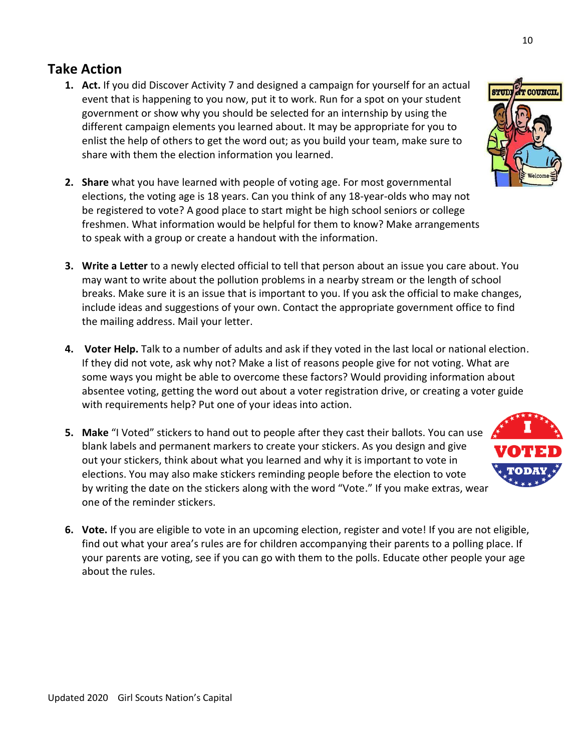## **Take Action**

- **1. Act.** If you did Discover Activity 7 and designed a campaign for yourself for an actual event that is happening to you now, put it to work. Run for a spot on your student government or show why you should be selected for an internship by using the different campaign elements you learned about. It may be appropriate for you to enlist the help of others to get the word out; as you build your team, make sure to share with them the election information you learned.
- **2. Share** what you have learned with people of voting age. For most governmental elections, the voting age is 18 years. Can you think of any 18-year-olds who may not be registered to vote? A good place to start might be high school seniors or college freshmen. What information would be helpful for them to know? Make arrangements to speak with a group or create a handout with the information.
- **3. Write a Letter** to a newly elected official to tell that person about an issue you care about. You may want to write about the pollution problems in a nearby stream or the length of school breaks. Make sure it is an issue that is important to you. If you ask the official to make changes, include ideas and suggestions of your own. Contact the appropriate government office to find the mailing address. Mail your letter.
- **4. Voter Help.** Talk to a number of adults and ask if they voted in the last local or national election. If they did not vote, ask why not? Make a list of reasons people give for not voting. What are some ways you might be able to overcome these factors? Would providing information about absentee voting, getting the word out about a voter registration drive, or creating a voter guide with requirements help? Put one of your ideas into action.
- **5. Make** "I Voted" stickers to hand out to people after they cast their ballots. You can use blank labels and permanent markers to create your stickers. As you design and give out your stickers, think about what you learned and why it is important to vote in elections. You may also make stickers reminding people before the election to vote by writing the date on the stickers along with the word "Vote." If you make extras, wear one of the reminder stickers.
- **6. Vote.** If you are eligible to vote in an upcoming election, register and vote! If you are not eligible, find out what your area's rules are for children accompanying their parents to a polling place. If your parents are voting, see if you can go with them to the polls. Educate other people your age about the rules.